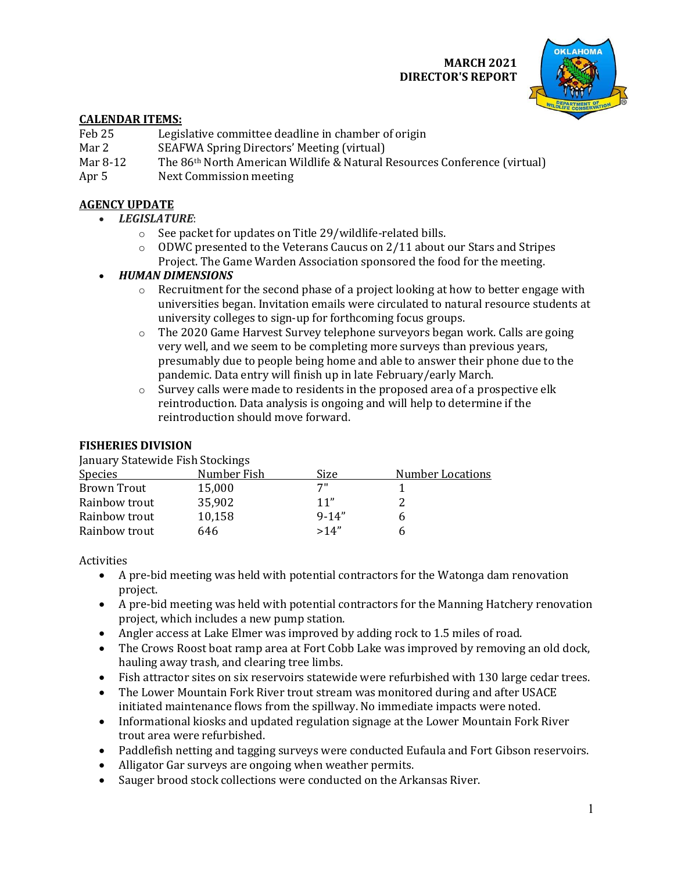#### **MARCH 2021 DIRECTOR'S REPORT**



## **CALENDAR ITEMS:**

- Feb 25 Legislative committee deadline in chamber of origin<br>Mar 2 SEAFWA Spring Directors' Meeting (virtual)
- Mar 2 SEAFWA Spring Directors' Meeting (virtual)<br>Mar 8-12 The 86<sup>th</sup> North American Wildlife & Natural I
- Mar 8-12 The 86<sup>th</sup> North American Wildlife & Natural Resources Conference (virtual) Apr 5 Next Commission meeting
- Next Commission meeting

# **AGENCY UPDATE**

- *LEGISLATURE*:
	- o See packet for updates on Title 29/wildlife-related bills.
	- o ODWC presented to the Veterans Caucus on 2/11 about our Stars and Stripes Project. The Game Warden Association sponsored the food for the meeting.

# • *HUMAN DIMENSIONS*

- $\circ$  Recruitment for the second phase of a project looking at how to better engage with universities began. Invitation emails were circulated to natural resource students at university colleges to sign-up for forthcoming focus groups.
- $\circ$  The 2020 Game Harvest Survey telephone surveyors began work. Calls are going very well, and we seem to be completing more surveys than previous years, presumably due to people being home and able to answer their phone due to the pandemic. Data entry will finish up in late February/early March.
- $\circ$  Survey calls were made to residents in the proposed area of a prospective elk reintroduction. Data analysis is ongoing and will help to determine if the reintroduction should move forward.

## **FISHERIES DIVISION**

January Statewide Fish Stockings

| <b>Species</b> | Number Fish | Size      | <b>Number Locations</b> |
|----------------|-------------|-----------|-------------------------|
| Brown Trout    | 15,000      | 7"        |                         |
| Rainbow trout  | 35,902      | 11"       |                         |
| Rainbow trout  | 10,158      | $9 - 14"$ | b                       |
| Rainbow trout  | 646         | >14"      |                         |
|                |             |           |                         |

Activities

- A pre-bid meeting was held with potential contractors for the Watonga dam renovation project.
- A pre-bid meeting was held with potential contractors for the Manning Hatchery renovation project, which includes a new pump station.
- Angler access at Lake Elmer was improved by adding rock to 1.5 miles of road.
- The Crows Roost boat ramp area at Fort Cobb Lake was improved by removing an old dock, hauling away trash, and clearing tree limbs.
- Fish attractor sites on six reservoirs statewide were refurbished with 130 large cedar trees.
- The Lower Mountain Fork River trout stream was monitored during and after USACE initiated maintenance flows from the spillway. No immediate impacts were noted.
- Informational kiosks and updated regulation signage at the Lower Mountain Fork River trout area were refurbished.
- Paddlefish netting and tagging surveys were conducted Eufaula and Fort Gibson reservoirs.
- Alligator Gar surveys are ongoing when weather permits.
- Sauger brood stock collections were conducted on the Arkansas River.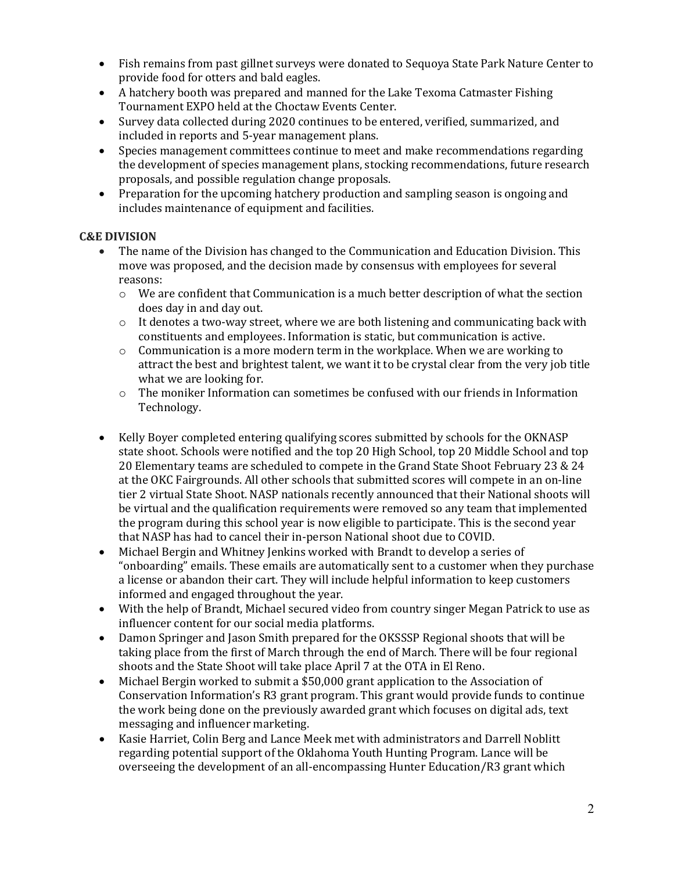- Fish remains from past gillnet surveys were donated to Sequoya State Park Nature Center to provide food for otters and bald eagles.
- A hatchery booth was prepared and manned for the Lake Texoma Catmaster Fishing Tournament EXPO held at the Choctaw Events Center.
- Survey data collected during 2020 continues to be entered, verified, summarized, and included in reports and 5-year management plans.
- Species management committees continue to meet and make recommendations regarding the development of species management plans, stocking recommendations, future research proposals, and possible regulation change proposals.
- Preparation for the upcoming hatchery production and sampling season is ongoing and includes maintenance of equipment and facilities.

#### **C&E DIVISION**

- The name of the Division has changed to the Communication and Education Division. This move was proposed, and the decision made by consensus with employees for several reasons:
	- $\circ$  We are confident that Communication is a much better description of what the section does day in and day out.
	- $\circ$  It denotes a two-way street, where we are both listening and communicating back with constituents and employees. Information is static, but communication is active.
	- $\circ$  Communication is a more modern term in the workplace. When we are working to attract the best and brightest talent, we want it to be crystal clear from the very job title what we are looking for.
	- $\circ$  The moniker Information can sometimes be confused with our friends in Information Technology.
- Kelly Boyer completed entering qualifying scores submitted by schools for the OKNASP state shoot. Schools were notified and the top 20 High School, top 20 Middle School and top 20 Elementary teams are scheduled to compete in the Grand State Shoot February 23 & 24 at the OKC Fairgrounds. All other schools that submitted scores will compete in an on-line tier 2 virtual State Shoot. NASP nationals recently announced that their National shoots will be virtual and the qualification requirements were removed so any team that implemented the program during this school year is now eligible to participate. This is the second year that NASP has had to cancel their in-person National shoot due to COVID.
- Michael Bergin and Whitney Jenkins worked with Brandt to develop a series of "onboarding" emails. These emails are automatically sent to a customer when they purchase a license or abandon their cart. They will include helpful information to keep customers informed and engaged throughout the year.
- With the help of Brandt, Michael secured video from country singer Megan Patrick to use as influencer content for our social media platforms.
- Damon Springer and Jason Smith prepared for the OKSSSP Regional shoots that will be taking place from the first of March through the end of March. There will be four regional shoots and the State Shoot will take place April 7 at the OTA in El Reno.
- Michael Bergin worked to submit a \$50,000 grant application to the Association of Conservation Information's R3 grant program. This grant would provide funds to continue the work being done on the previously awarded grant which focuses on digital ads, text messaging and influencer marketing.
- Kasie Harriet, Colin Berg and Lance Meek met with administrators and Darrell Noblitt regarding potential support of the Oklahoma Youth Hunting Program. Lance will be overseeing the development of an all-encompassing Hunter Education/R3 grant which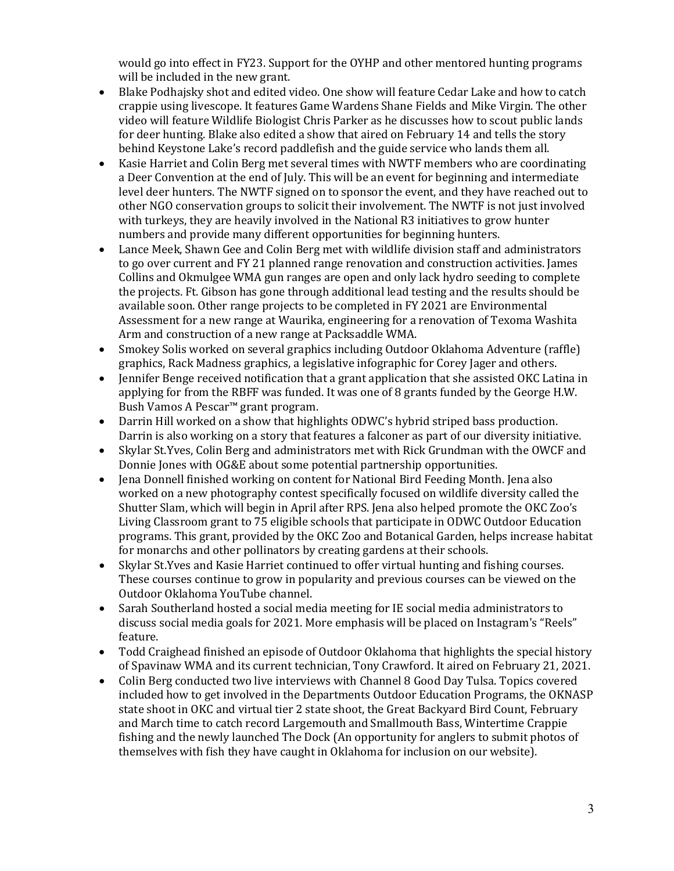would go into effect in FY23. Support for the OYHP and other mentored hunting programs will be included in the new grant.

- Blake Podhajsky shot and edited video. One show will feature Cedar Lake and how to catch crappie using livescope. It features Game Wardens Shane Fields and Mike Virgin. The other video will feature Wildlife Biologist Chris Parker as he discusses how to scout public lands for deer hunting. Blake also edited a show that aired on February 14 and tells the story behind Keystone Lake's record paddlefish and the guide service who lands them all.
- Kasie Harriet and Colin Berg met several times with NWTF members who are coordinating a Deer Convention at the end of July. This will be an event for beginning and intermediate level deer hunters. The NWTF signed on to sponsor the event, and they have reached out to other NGO conservation groups to solicit their involvement. The NWTF is not just involved with turkeys, they are heavily involved in the National R3 initiatives to grow hunter numbers and provide many different opportunities for beginning hunters.
- Lance Meek, Shawn Gee and Colin Berg met with wildlife division staff and administrators to go over current and FY 21 planned range renovation and construction activities. James Collins and Okmulgee WMA gun ranges are open and only lack hydro seeding to complete the projects. Ft. Gibson has gone through additional lead testing and the results should be available soon. Other range projects to be completed in FY 2021 are Environmental Assessment for a new range at Waurika, engineering for a renovation of Texoma Washita Arm and construction of a new range at Packsaddle WMA.
- Smokey Solis worked on several graphics including Outdoor Oklahoma Adventure (raffle) graphics, Rack Madness graphics, a legislative infographic for Corey Jager and others.
- Jennifer Benge received notification that a grant application that she assisted OKC Latina in applying for from the RBFF was funded. It was one of 8 grants funded by the George H.W. Bush Vamos A Pescar™ grant program.
- Darrin Hill worked on a show that highlights ODWC's hybrid striped bass production. Darrin is also working on a story that features a falconer as part of our diversity initiative.
- Skylar St.Yves, Colin Berg and administrators met with Rick Grundman with the OWCF and Donnie Jones with OG&E about some potential partnership opportunities.
- Jena Donnell finished working on content for National Bird Feeding Month. Jena also worked on a new photography contest specifically focused on wildlife diversity called the Shutter Slam, which will begin in April after RPS. Jena also helped promote the OKC Zoo's Living Classroom grant to 75 eligible schools that participate in ODWC Outdoor Education programs. This grant, provided by the OKC Zoo and Botanical Garden, helps increase habitat for monarchs and other pollinators by creating gardens at their schools.
- Skylar St.Yves and Kasie Harriet continued to offer virtual hunting and fishing courses. These courses continue to grow in popularity and previous courses can be viewed on the Outdoor Oklahoma YouTube channel.
- Sarah Southerland hosted a social media meeting for IE social media administrators to discuss social media goals for 2021. More emphasis will be placed on Instagram's "Reels" feature.
- Todd Craighead finished an episode of Outdoor Oklahoma that highlights the special history of Spavinaw WMA and its current technician, Tony Crawford. It aired on February 21, 2021.
- Colin Berg conducted two live interviews with Channel 8 Good Day Tulsa. Topics covered included how to get involved in the Departments Outdoor Education Programs, the OKNASP state shoot in OKC and virtual tier 2 state shoot, the Great Backyard Bird Count, February and March time to catch record Largemouth and Smallmouth Bass, Wintertime Crappie fishing and the newly launched The Dock (An opportunity for anglers to submit photos of themselves with fish they have caught in Oklahoma for inclusion on our website).